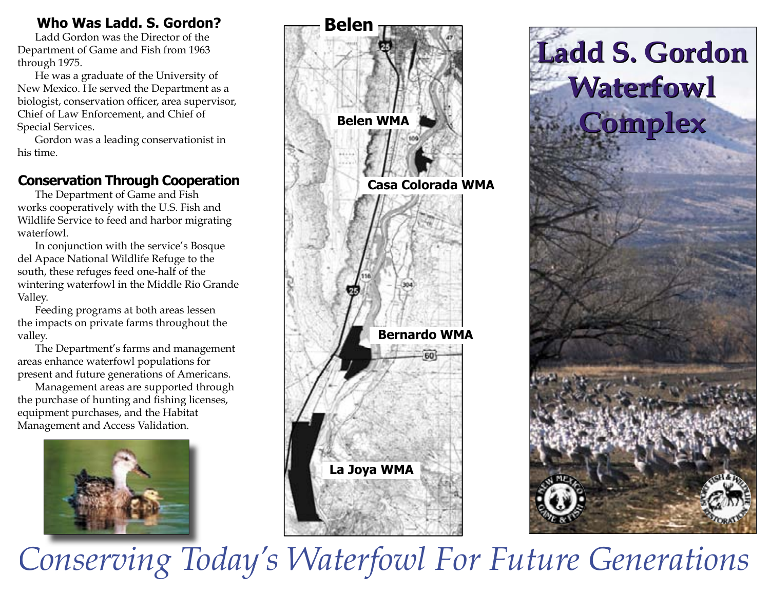### **Who Was Ladd. S. Gordon?**

 Ladd Gordon was the Director of the Department of Game and Fish from 1963 through 1975.

 He was a graduate of the University of New Mexico. He served the Department as a biologist, conservation officer, area supervisor, Chief of Law Enforcement, and Chief of Special Services.

 Gordon was a leading conservationist in his time.

### **Conservation Through Cooperation**

 The Department of Game and Fish works cooperatively with the U.S. Fish and Wildlife Service to feed and harbor migrating waterfowl.

 In conjunction with the service's Bosque del Apace National Wildlife Refuge to the south, these refuges feed one-half of the wintering waterfowl in the Middle Rio Grande Valley.

 Feeding programs at both areas lessen the impacts on private farms throughout the valley.

 The Department's farms and management areas enhance waterfowl populations for present and future generations of Americans.

 Management areas are supported through the purchase of hunting and fishing licenses, equipment purchases, and the Habitat Management and Access Validation.







*Conserving Today's Waterfowl For Future Generations*